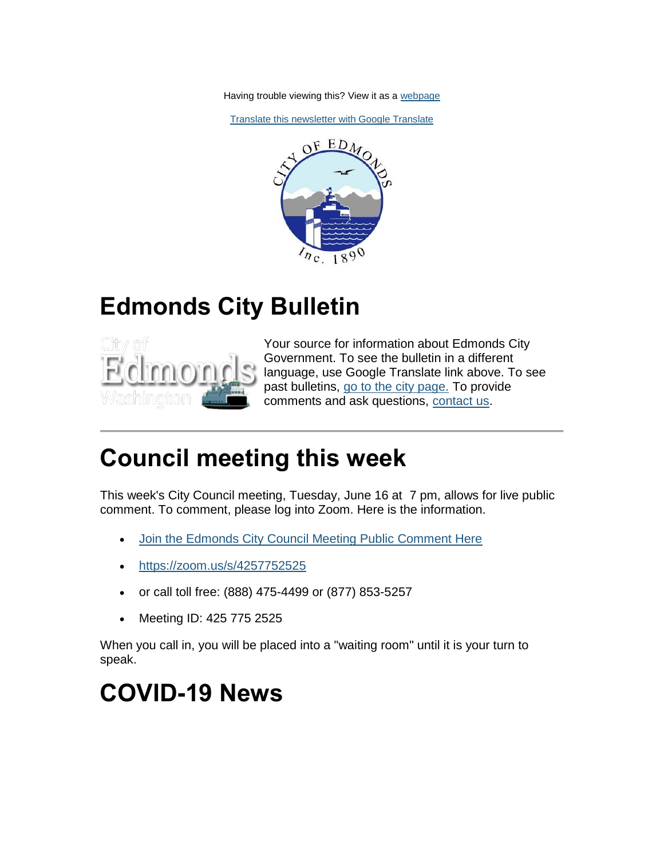Having trouble viewing this? View it as a [webpage](https://lnks.gd/l/eyJhbGciOiJIUzI1NiJ9.eyJidWxsZXRpbl9saW5rX2lkIjoxMDAsInVyaSI6ImJwMjpjbGljayIsImJ1bGxldGluX2lkIjoiMjAyMDA2MTUuMjI5NTk1MzEiLCJ1cmwiOiJodHRwczovL2NvbnRlbnQuZ292ZGVsaXZlcnkuY29tL2FjY291bnRzL1dBRURNT05EUy9idWxsZXRpbnMvMjkwM2NhMyJ9.5TaMPwcDaHFmHp0ShvDSoI9XB5chKaUpqcImg5wFiU8/br/79855058242-l)

[Translate this newsletter with Google Translate](https://lnks.gd/l/eyJhbGciOiJIUzI1NiJ9.eyJidWxsZXRpbl9saW5rX2lkIjoxMDEsInVyaSI6ImJwMjpjbGljayIsImJ1bGxldGluX2lkIjoiMjAyMDA2MTUuMjI5NTk1MzEiLCJ1cmwiOiJodHRwczovL3RyYW5zbGF0ZS5nb29nbGUuY29tL3RyYW5zbGF0ZT9zbD1lbiZ0bD1lcyZ1PWh0dHBzJTNBJTJGJTJGY29udGVudC5nb3ZkZWxpdmVyeS5jb20lMkZhY2NvdW50cyUyRldBRURNT05EUyUyRmJ1bGxldGlucyUyRjI5MDNjYTMifQ.SrCAvhokeAyI-fSUNE2OYOcdMBuT6NZ_Zdv84V-LMsE/br/79855058242-l)



# **Edmonds City Bulletin**



Your source for information about Edmonds City Government. To see the bulletin in a different language, use Google Translate link above. To see past bulletins, [go to the city page.](https://lnks.gd/l/eyJhbGciOiJIUzI1NiJ9.eyJidWxsZXRpbl9saW5rX2lkIjoxMDIsInVyaSI6ImJwMjpjbGljayIsImJ1bGxldGluX2lkIjoiMjAyMDA2MTUuMjI5NTk1MzEiLCJ1cmwiOiJodHRwOi8vd3d3LmVkbW9uZHN3YS5nb3YvZWRtb25kcy1jaXR5LWJ1bGxldGluLmh0bWwifQ.Sivv1pYDJwgy66FDtghW9F59sHlKbjZEDnL8tuiPTsk/br/79855058242-l) To provide comments and ask questions, [contact us.](mailto:jamie.holter@edmondswa.gov)

# **Council meeting this week**

This week's City Council meeting, Tuesday, June 16 at 7 pm, allows for live public comment. To comment, please log into Zoom. Here is the information.

- [Join the Edmonds City Council Meeting Public Comment Here](https://lnks.gd/l/eyJhbGciOiJIUzI1NiJ9.eyJidWxsZXRpbl9saW5rX2lkIjoxMDMsInVyaSI6ImJwMjpjbGljayIsImJ1bGxldGluX2lkIjoiMjAyMDA2MTUuMjI5NTk1MzEiLCJ1cmwiOiJodHRwczovL3pvb20udXMvcy80MjU3NzUyNTI1In0.nomn5KILniusSQ0TCJdt7qcs3N6WP2zBqs_2uaz0ghw/br/79855058242-l)
- [https://zoom.us/s/4257752525](https://lnks.gd/l/eyJhbGciOiJIUzI1NiJ9.eyJidWxsZXRpbl9saW5rX2lkIjoxMDQsInVyaSI6ImJwMjpjbGljayIsImJ1bGxldGluX2lkIjoiMjAyMDA2MTUuMjI5NTk1MzEiLCJ1cmwiOiJodHRwczovL3pvb20udXMvcy80MjU3NzUyNTI1In0.z9FlS2pjDgAAzQl5uddTRbtKytJD9rmHsMGsQew9hb0/br/79855058242-l)
- or call toll free: (888) 475-4499 or (877) 853-5257
- Meeting ID: 425 775 2525

When you call in, you will be placed into a "waiting room" until it is your turn to speak.

# **COVID-19 News**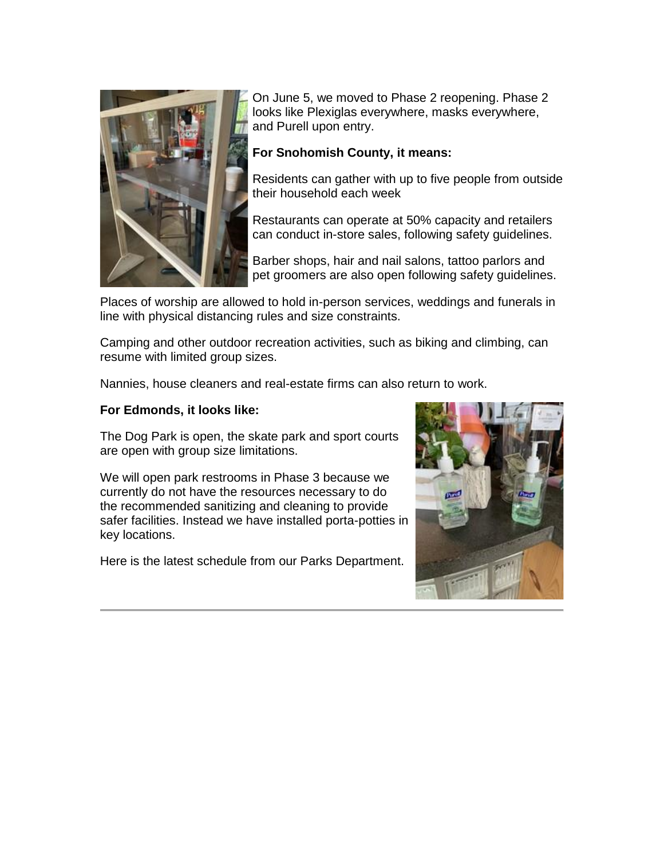

On June 5, we moved to Phase 2 reopening. Phase 2 looks like Plexiglas everywhere, masks everywhere, and Purell upon entry.

### **For Snohomish County, it means:**

Residents can gather with up to five people from outside their household each week

Restaurants can operate at 50% capacity and retailers can conduct in-store sales, following safety guidelines.

Barber shops, hair and nail salons, tattoo parlors and pet groomers are also open following safety guidelines.

Places of worship are allowed to hold in-person services, weddings and funerals in line with physical distancing rules and size constraints.

Camping and other outdoor recreation activities, such as biking and climbing, can resume with limited group sizes.

Nannies, house cleaners and real-estate firms can also return to work.

### **For Edmonds, it looks like:**

The Dog Park is open, the skate park and sport courts are open with group size limitations.

We will open park restrooms in Phase 3 because we currently do not have the resources necessary to do the recommended sanitizing and cleaning to provide safer facilities. Instead we have installed porta-potties in key locations.

Here is the latest schedule from our Parks Department.

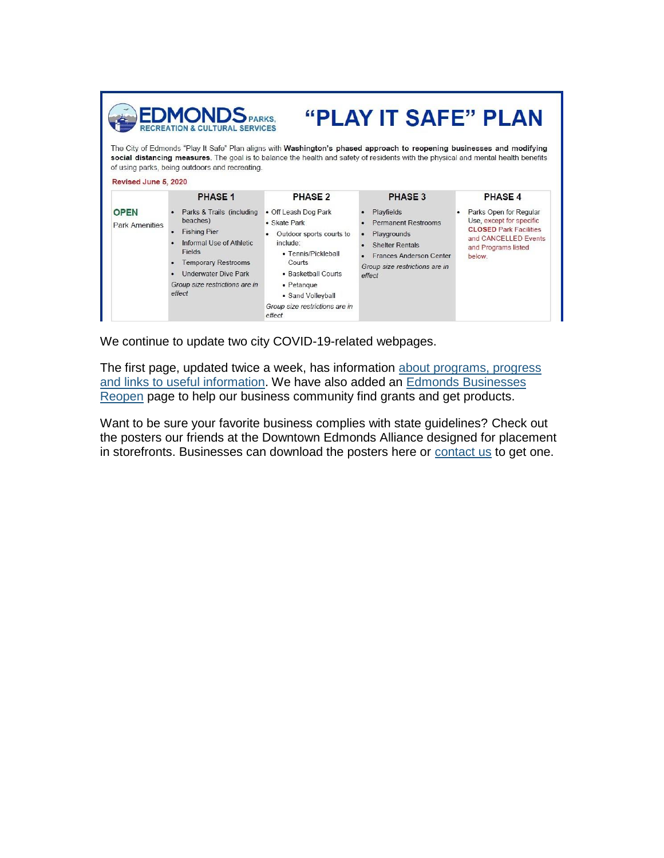| Revised June 5, 2020                 | <b>EDMONDS</b> PARKS,<br>of using parks, being outdoors and recreating.                                                                                                                                                                                             |                                                                                                                                                                                                                                       | "PLAY IT SAFE" PLAN<br>The City of Edmonds "Play It Safe" Plan aligns with Washington's phased approach to reopening businesses and modifying<br>social distancing measures. The goal is to balance the health and safety of residents with the physical and mental health benefits |                                                                                                                                                                |
|--------------------------------------|---------------------------------------------------------------------------------------------------------------------------------------------------------------------------------------------------------------------------------------------------------------------|---------------------------------------------------------------------------------------------------------------------------------------------------------------------------------------------------------------------------------------|-------------------------------------------------------------------------------------------------------------------------------------------------------------------------------------------------------------------------------------------------------------------------------------|----------------------------------------------------------------------------------------------------------------------------------------------------------------|
| <b>OPEN</b><br><b>Park Amenities</b> | <b>PHASE 1</b><br>Parks & Trails (including<br>beaches)<br><b>Fishing Pier</b><br>٠<br>Informal Use of Athletic<br><b>Fields</b><br><b>Temporary Restrooms</b><br>$\bullet$<br><b>Underwater Dive Park</b><br>$\bullet$<br>Group size restrictions are in<br>effect | <b>PHASE 2</b><br>• Off Leash Dog Park<br>• Skate Park<br>Outdoor sports courts to<br>include:<br>• Tennis/Pickleball<br>Courts<br>• Basketball Courts<br>• Petanque<br>• Sand Volleyball<br>Group size restrictions are in<br>effect | <b>PHASE 3</b><br>Playfields<br><b>Permanent Restrooms</b><br>Playgrounds<br><b>Shelter Rentals</b><br>Frances Anderson Center<br>Group size restrictions are in<br>effect                                                                                                          | <b>PHASE 4</b><br>Parks Open for Regular<br>Use, except for specific<br><b>CLOSED Park Facilities</b><br>and CANCELLED Events<br>and Programs listed<br>below. |

We continue to update two city COVID-19-related webpages.

The first page, updated twice a week, has information about programs, progress [and links to useful information.](https://lnks.gd/l/eyJhbGciOiJIUzI1NiJ9.eyJidWxsZXRpbl9saW5rX2lkIjoxMDUsInVyaSI6ImJwMjpjbGljayIsImJ1bGxldGluX2lkIjoiMjAyMDA2MTUuMjI5NTk1MzEiLCJ1cmwiOiJodHRwOi8vd3d3LmVkbW9uZHN3YS5nb3YvY29yb25hdmlydXMuaHRtbCJ9.nK2QXBracZKrlz4qc9LqApJrIyt1eRPXFIVa4gZBpJE/br/79855058242-l) We have also added an [Edmonds Businesses](https://lnks.gd/l/eyJhbGciOiJIUzI1NiJ9.eyJidWxsZXRpbl9saW5rX2lkIjoxMDYsInVyaSI6ImJwMjpjbGljayIsImJ1bGxldGluX2lkIjoiMjAyMDA2MTUuMjI5NTk1MzEiLCJ1cmwiOiJodHRwOi8vd3d3LmVkbW9uZHN3YS5nb3YvY292aWQtYnVzaW5lc3MuaHRtbCJ9.fetcmkTFXqR_0OxXPK9ertRTjBwDYqazqhOJzN6QHus/br/79855058242-l)  [Reopen](https://lnks.gd/l/eyJhbGciOiJIUzI1NiJ9.eyJidWxsZXRpbl9saW5rX2lkIjoxMDYsInVyaSI6ImJwMjpjbGljayIsImJ1bGxldGluX2lkIjoiMjAyMDA2MTUuMjI5NTk1MzEiLCJ1cmwiOiJodHRwOi8vd3d3LmVkbW9uZHN3YS5nb3YvY292aWQtYnVzaW5lc3MuaHRtbCJ9.fetcmkTFXqR_0OxXPK9ertRTjBwDYqazqhOJzN6QHus/br/79855058242-l) page to help our business community find grants and get products.

Want to be sure your favorite business complies with state guidelines? Check out the posters our friends at the Downtown Edmonds Alliance designed for placement in storefronts. Businesses can download the posters here or [contact us](mailto:jamie.holter@edmondswa.gov) to get one.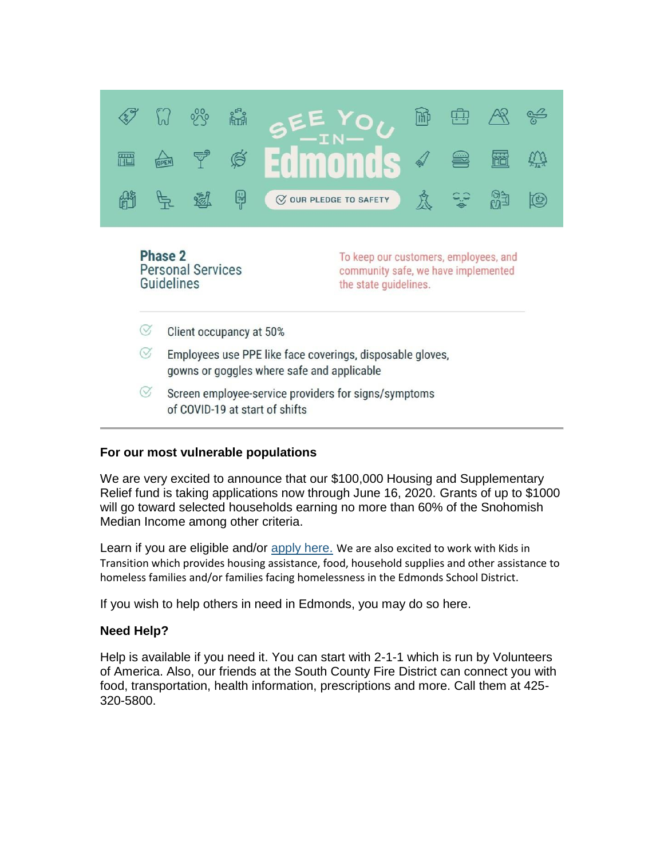

**Phase 2 Personal Services Guidelines** 

To keep our customers, employees, and community safe, we have implemented the state guidelines.

- Œ Client occupancy at 50%
- $\varnothing$ Employees use PPE like face coverings, disposable gloves, gowns or goggles where safe and applicable
- $\varnothing$ Screen employee-service providers for signs/symptoms of COVID-19 at start of shifts

#### **For our most vulnerable populations**

We are very excited to announce that our \$100,000 Housing and Supplementary Relief fund is taking applications now through June 16, 2020. Grants of up to \$1000 will go toward selected households earning no more than 60% of the Snohomish Median Income among other criteria.

Learn if you are eligible and/or [apply](https://lnks.gd/l/eyJhbGciOiJIUzI1NiJ9.eyJidWxsZXRpbl9saW5rX2lkIjoxMDcsInVyaSI6ImJwMjpjbGljayIsImJ1bGxldGluX2lkIjoiMjAyMDA2MTUuMjI5NTk1MzEiLCJ1cmwiOiJodHRwczovL3dlbGxzcHJpbmdmcy5vcmcvZWRtb25kcyJ9.uAMe1Ebi1PFFuSjGo1h6lrb603a-iv4kFqLAJ0BOrtw/br/79855058242-l) here. We are also excited to work with Kids in Transition which provides housing assistance, food, household supplies and other assistance to homeless families and/or families facing homelessness in the Edmonds School District.

If you wish to help others in need in Edmonds, you may do so here.

#### **Need Help?**

Help is available if you need it. You can start with 2-1-1 which is run by Volunteers of America. Also, our friends at the South County Fire District can connect you with food, transportation, health information, prescriptions and more. Call them at 425- 320-5800.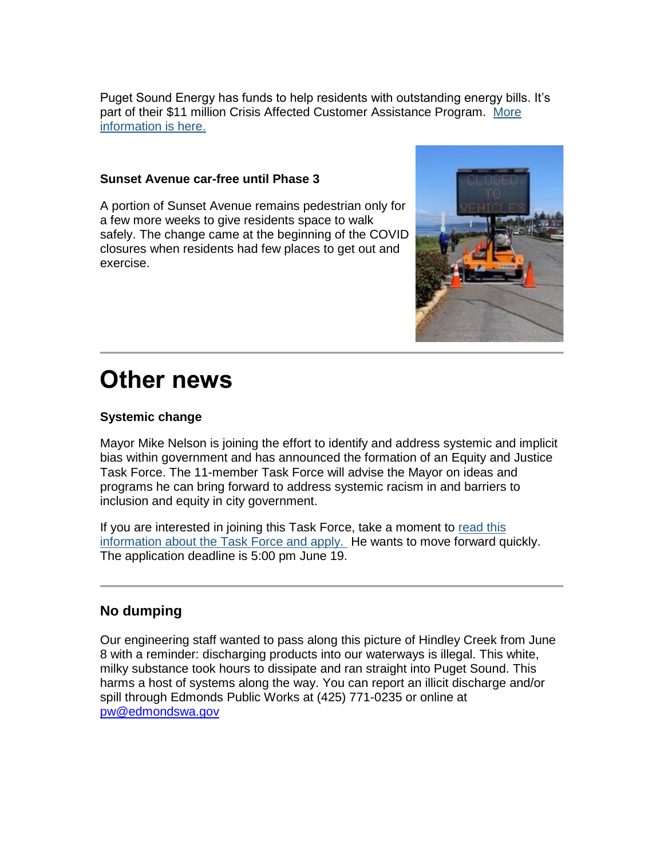Puget Sound Energy has funds to help residents with outstanding energy bills. It's part of their \$11 million Crisis Affected Customer Assistance Program. [More](https://lnks.gd/l/eyJhbGciOiJIUzI1NiJ9.eyJidWxsZXRpbl9saW5rX2lkIjoxMDgsInVyaSI6ImJwMjpjbGljayIsImJ1bGxldGluX2lkIjoiMjAyMDA2MTUuMjI5NTk1MzEiLCJ1cmwiOiJodHRwczovL3d3dy5wc2UuY29tL0N1c3RvbWVyLVNlcnZpY2UvaGVscC1jZW50ZXIvYXNzaXN0YW5jZS1wcm9ncmFtcyJ9.QKDfAstzQfB14_2Lun5pccfv_DKPb6NSEbOlz7e6hz0/br/79855058242-l)  [information is here.](https://lnks.gd/l/eyJhbGciOiJIUzI1NiJ9.eyJidWxsZXRpbl9saW5rX2lkIjoxMDgsInVyaSI6ImJwMjpjbGljayIsImJ1bGxldGluX2lkIjoiMjAyMDA2MTUuMjI5NTk1MzEiLCJ1cmwiOiJodHRwczovL3d3dy5wc2UuY29tL0N1c3RvbWVyLVNlcnZpY2UvaGVscC1jZW50ZXIvYXNzaXN0YW5jZS1wcm9ncmFtcyJ9.QKDfAstzQfB14_2Lun5pccfv_DKPb6NSEbOlz7e6hz0/br/79855058242-l)

#### **Sunset Avenue car-free until Phase 3**

A portion of Sunset Avenue remains pedestrian only for a few more weeks to give residents space to walk safely. The change came at the beginning of the COVID closures when residents had few places to get out and exercise.



## **Other news**

### **Systemic change**

Mayor Mike Nelson is joining the effort to identify and address systemic and implicit bias within government and has announced the formation of an Equity and Justice Task Force. The 11-member Task Force will advise the Mayor on ideas and programs he can bring forward to address systemic racism in and barriers to inclusion and equity in city government.

If you are interested in joining this Task Force, take a moment to [read this](https://lnks.gd/l/eyJhbGciOiJIUzI1NiJ9.eyJidWxsZXRpbl9saW5rX2lkIjoxMDksInVyaSI6ImJwMjpjbGljayIsImJ1bGxldGluX2lkIjoiMjAyMDA2MTUuMjI5NTk1MzEiLCJ1cmwiOiJodHRwOi8vd3d3LmVkbW9uZHN3YS5nb3YvaW1hZ2VzL0NPRS9QcmVzc19SZWxlYXNlL1BERi8yMDIwL0VxdWl0eV9UYXNrX0ZvcmNlX0FwcGxpY2F0aW9uc19tZWRpYV9yZWxlYXNlXy1fUkVWSVNFRC5wZGYifQ.B2ufYyIo1usettiYzzy6E0dccNJio6_H0E-aNm-VUPI/br/79855058242-l)  [information about the Task Force and apply.](https://lnks.gd/l/eyJhbGciOiJIUzI1NiJ9.eyJidWxsZXRpbl9saW5rX2lkIjoxMDksInVyaSI6ImJwMjpjbGljayIsImJ1bGxldGluX2lkIjoiMjAyMDA2MTUuMjI5NTk1MzEiLCJ1cmwiOiJodHRwOi8vd3d3LmVkbW9uZHN3YS5nb3YvaW1hZ2VzL0NPRS9QcmVzc19SZWxlYXNlL1BERi8yMDIwL0VxdWl0eV9UYXNrX0ZvcmNlX0FwcGxpY2F0aW9uc19tZWRpYV9yZWxlYXNlXy1fUkVWSVNFRC5wZGYifQ.B2ufYyIo1usettiYzzy6E0dccNJio6_H0E-aNm-VUPI/br/79855058242-l) He wants to move forward quickly. The application deadline is 5:00 pm June 19.

## **No dumping**

Our engineering staff wanted to pass along this picture of Hindley Creek from June 8 with a reminder: discharging products into our waterways is illegal. This white, milky substance took hours to dissipate and ran straight into Puget Sound. This harms a host of systems along the way. You can report an illicit discharge and/or spill through Edmonds Public Works at (425) 771-0235 or online at [pw@edmondswa.gov](mailto:pw@edmondswa.gov)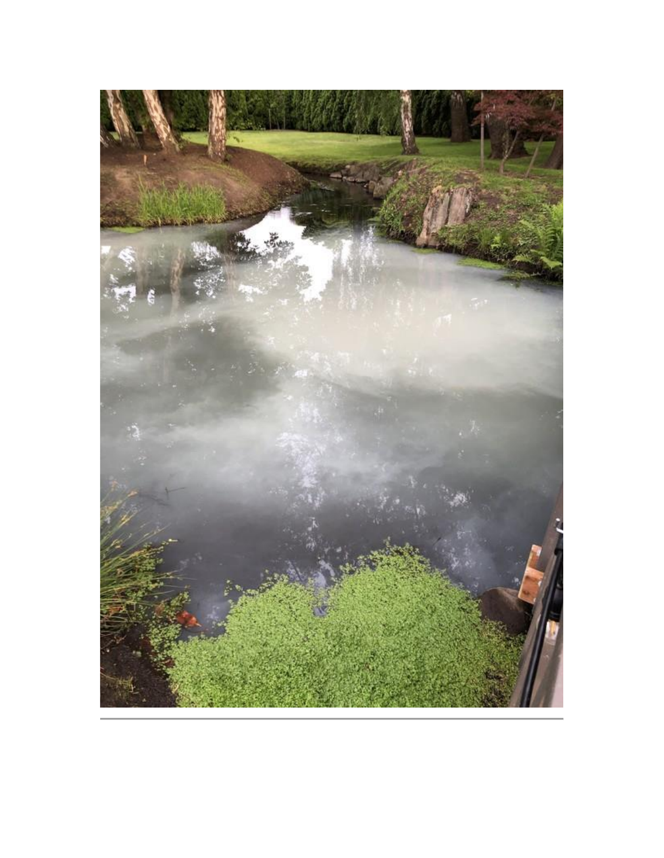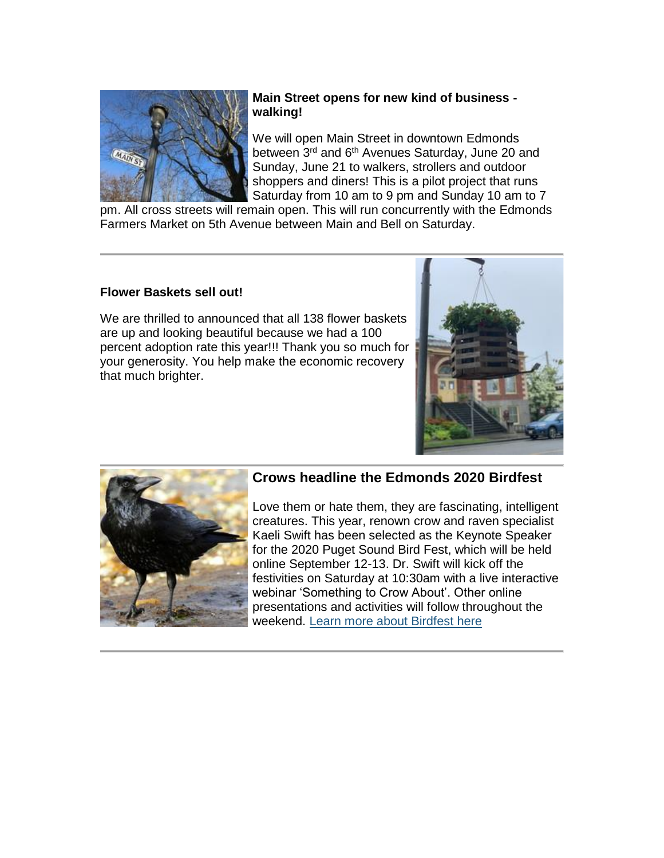

### **Main Street opens for new kind of business walking!**

We will open Main Street in downtown Edmonds between 3<sup>rd</sup> and 6<sup>th</sup> Avenues Saturday, June 20 and Sunday, June 21 to walkers, strollers and outdoor shoppers and diners! This is a pilot project that runs Saturday from 10 am to 9 pm and Sunday 10 am to 7

pm. All cross streets will remain open. This will run concurrently with the Edmonds Farmers Market on 5th Avenue between Main and Bell on Saturday.

#### **Flower Baskets sell out!**

We are thrilled to announced that all 138 flower baskets are up and looking beautiful because we had a 100 percent adoption rate this year!!! Thank you so much for your generosity. You help make the economic recovery that much brighter.





### **Crows headline the Edmonds 2020 Birdfest**

Love them or hate them, they are fascinating, intelligent creatures. This year, renown crow and raven specialist Kaeli Swift has been selected as the Keynote Speaker for the 2020 Puget Sound Bird Fest, which will be held online September 12-13. Dr. Swift will kick off the festivities on Saturday at 10:30am with a live interactive webinar 'Something to Crow About'. Other online presentations and activities will follow throughout the weekend. [Learn more about Birdfest here](https://lnks.gd/l/eyJhbGciOiJIUzI1NiJ9.eyJidWxsZXRpbl9saW5rX2lkIjoxMTAsInVyaSI6ImJwMjpjbGljayIsImJ1bGxldGluX2lkIjoiMjAyMDA2MTUuMjI5NTk1MzEiLCJ1cmwiOiJodHRwOi8vd3d3LmVkbW9uZHN3YS5nb3YvaW1hZ2VzL0NPRS9QcmVzc19SZWxlYXNlL1BERi8yMDIwL0JpcmRfRmVzdF9NZWRpYV9SZWxlYXNlX0tleW5vdGVfU2F2ZV90aGVfRGF0ZV9KdW5lXzIwMjAucGRmIn0.LOcKHBEzmOM7mBJA5a5zWhhYu6pqS9A_1e3xI186YrE/br/79855058242-l)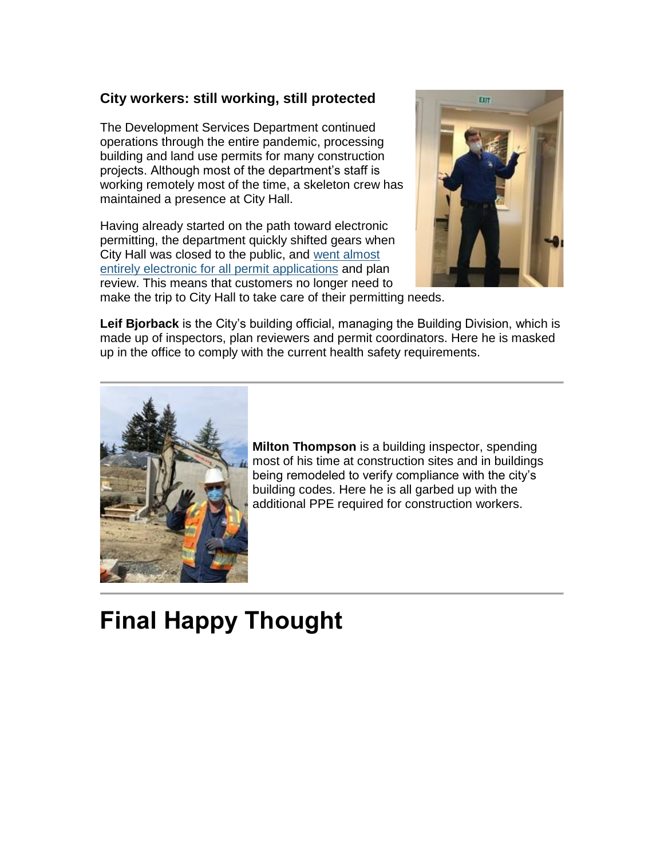### **City workers: still working, still protected**

The Development Services Department continued operations through the entire pandemic, processing building and land use permits for many construction projects. Although most of the department's staff is working remotely most of the time, a skeleton crew has maintained a presence at City Hall.

Having already started on the path toward electronic permitting, the department quickly shifted gears when City Hall was closed to the public, and [went almost](https://lnks.gd/l/eyJhbGciOiJIUzI1NiJ9.eyJidWxsZXRpbl9saW5rX2lkIjoxMTEsInVyaSI6ImJwMjpjbGljayIsImJ1bGxldGluX2lkIjoiMjAyMDA2MTUuMjI5NTk1MzEiLCJ1cmwiOiJodHRwOi8vd3d3LmVkbW9uZHN3YS5nb3YvYXBwbHktZm9yLWEtcGVybWl0Lmh0bWwifQ.oV_aX78USEJG2lz1TtOCY2ylwB_zUXx-XzzdZIlgUgM/br/79855058242-l)  [entirely electronic for all permit applications](https://lnks.gd/l/eyJhbGciOiJIUzI1NiJ9.eyJidWxsZXRpbl9saW5rX2lkIjoxMTEsInVyaSI6ImJwMjpjbGljayIsImJ1bGxldGluX2lkIjoiMjAyMDA2MTUuMjI5NTk1MzEiLCJ1cmwiOiJodHRwOi8vd3d3LmVkbW9uZHN3YS5nb3YvYXBwbHktZm9yLWEtcGVybWl0Lmh0bWwifQ.oV_aX78USEJG2lz1TtOCY2ylwB_zUXx-XzzdZIlgUgM/br/79855058242-l) and plan review. This means that customers no longer need to



make the trip to City Hall to take care of their permitting needs.

**Leif Bjorback** is the City's building official, managing the Building Division, which is made up of inspectors, plan reviewers and permit coordinators. Here he is masked up in the office to comply with the current health safety requirements.



**Milton Thompson** is a building inspector, spending most of his time at construction sites and in buildings being remodeled to verify compliance with the city's building codes. Here he is all garbed up with the additional PPE required for construction workers.

# **Final Happy Thought**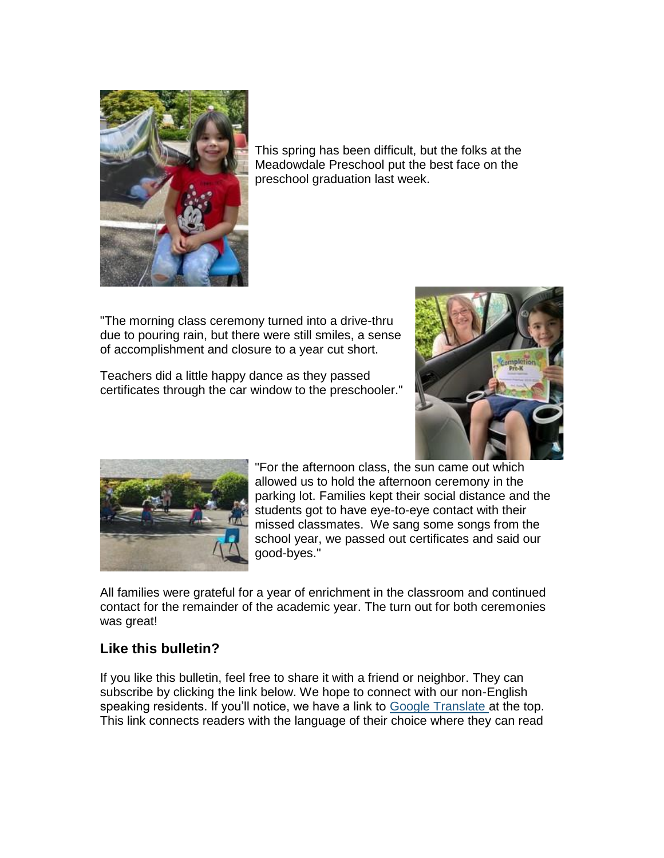

This spring has been difficult, but the folks at the Meadowdale Preschool put the best face on the preschool graduation last week.

"The morning class ceremony turned into a drive-thru due to pouring rain, but there were still smiles, a sense of accomplishment and closure to a year cut short.

Teachers did a little happy dance as they passed certificates through the car window to the preschooler."





"For the afternoon class, the sun came out which allowed us to hold the afternoon ceremony in the parking lot. Families kept their social distance and the students got to have eye-to-eye contact with their missed classmates. We sang some songs from the school year, we passed out certificates and said our good-byes."

All families were grateful for a year of enrichment in the classroom and continued contact for the remainder of the academic year. The turn out for both ceremonies was great!

## **Like this bulletin?**

If you like this bulletin, feel free to share it with a friend or neighbor. They can subscribe by clicking the link below. We hope to connect with our non-English speaking residents. If you'll notice, we have a link to [Google Translate a](https://lnks.gd/l/eyJhbGciOiJIUzI1NiJ9.eyJidWxsZXRpbl9saW5rX2lkIjoxMTIsInVyaSI6ImJwMjpjbGljayIsImJ1bGxldGluX2lkIjoiMjAyMDA2MTUuMjI5NTk1MzEiLCJ1cmwiOiJodHRwczovL3RyYW5zbGF0ZS5nb29nbGUuY29tLyJ9.7lyWUyx2wlllrNy5vLu_FjCfqoMkdzDTr2c-pm4gyMc/br/79855058242-l)t the top. This link connects readers with the language of their choice where they can read